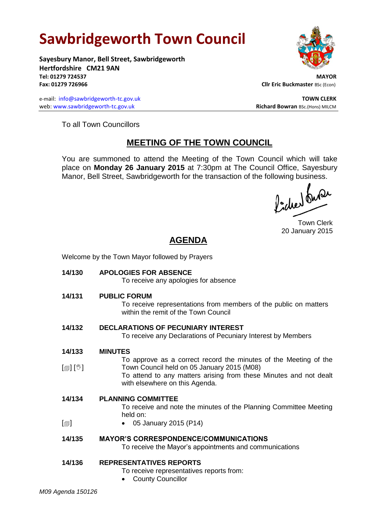# **Sawbridgeworth Town Council**

Welcome by the Town Mayor followed by Prayers

**Sayesbury Manor, Bell Street, Sawbridgeworth Hertfordshire CM21 9AN Tel: 01279 724537 MAYOR**

e-mail: [info@sawbridgeworth-tc.gov.uk](mailto:info@sawbridgeworth-tc.gov.uk) **TOWN CLERK TOWN CLERK** web: www.sawbridgeworth-tc.gov.uk **Richard Bowran** BSc.(Hons) MILCM



**Fax: 01279 726966 Cllr Eric Buckmaster BSc (Econ)** 

To all Town Councillors

## **MEETING OF THE TOWN COUNCIL**

You are summoned to attend the Meeting of the Town Council which will take place on **Monday 26 January 2015** at 7:30pm at The Council Office, Sayesbury Manor, Bell Street, Sawbridgeworth for the transaction of the following business.

ladres buse

Town Clerk 20 January 2015

## **AGENDA**

| 14/130                   | <b>APOLOGIES FOR ABSENCE</b><br>To receive any apologies for absence                                                                                                                                                  |
|--------------------------|-----------------------------------------------------------------------------------------------------------------------------------------------------------------------------------------------------------------------|
| 14/131                   | <b>PUBLIC FORUM</b><br>To receive representations from members of the public on matters<br>within the remit of the Town Council                                                                                       |
| 14/132                   | <b>DECLARATIONS OF PECUNIARY INTEREST</b><br>To receive any Declarations of Pecuniary Interest by Members                                                                                                             |
| 14/133                   | <b>MINUTES</b>                                                                                                                                                                                                        |
| [@] [V]                  | To approve as a correct record the minutes of the Meeting of the<br>Town Council held on 05 January 2015 (M08)<br>To attend to any matters arising from these Minutes and not dealt<br>with elsewhere on this Agenda. |
| 14/134                   | <b>PLANNING COMMITTEE</b><br>To receive and note the minutes of the Planning Committee Meeting<br>held on:                                                                                                            |
| $\lbrack \oplus \rbrack$ | 05 January 2015 (P14)                                                                                                                                                                                                 |
| 14/135                   | <b>MAYOR'S CORRESPONDENCE/COMMUNICATIONS</b><br>To receive the Mayor's appointments and communications                                                                                                                |
| 14/136                   | <b>REPRESENTATIVES REPORTS</b><br>To receive representatives reports from:<br><b>County Councillor</b>                                                                                                                |
| M09 Agenda 150126        |                                                                                                                                                                                                                       |